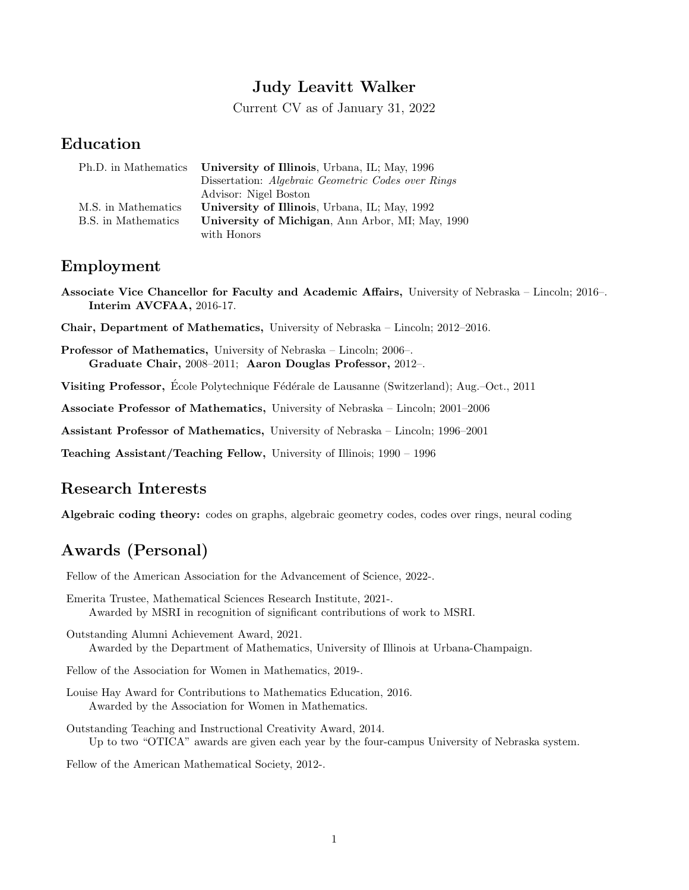# Judy Leavitt Walker

Current CV as of January 31, 2022

# Education

| Ph.D. in Mathematics | University of Illinois, Urbana, IL; May, 1996      |
|----------------------|----------------------------------------------------|
|                      | Dissertation: Algebraic Geometric Codes over Rings |
|                      | Advisor: Nigel Boston                              |
| M.S. in Mathematics  | University of Illinois, Urbana, IL; May, 1992      |
| B.S. in Mathematics  | University of Michigan, Ann Arbor, MI; May, 1990   |
|                      | with Honors                                        |

## Employment

Associate Vice Chancellor for Faculty and Academic Affairs, University of Nebraska – Lincoln; 2016–. Interim AVCFAA, 2016-17.

Chair, Department of Mathematics, University of Nebraska – Lincoln; 2012–2016.

Professor of Mathematics, University of Nebraska – Lincoln; 2006–. Graduate Chair, 2008–2011; Aaron Douglas Professor, 2012–.

Visiting Professor, École Polytechnique Fédérale de Lausanne (Switzerland); Aug.–Oct., 2011

Associate Professor of Mathematics, University of Nebraska – Lincoln; 2001–2006

Assistant Professor of Mathematics, University of Nebraska – Lincoln; 1996–2001

Teaching Assistant/Teaching Fellow, University of Illinois; 1990 – 1996

# Research Interests

Algebraic coding theory: codes on graphs, algebraic geometry codes, codes over rings, neural coding

# Awards (Personal)

Fellow of the American Association for the Advancement of Science, 2022-.

Emerita Trustee, Mathematical Sciences Research Institute, 2021-. Awarded by MSRI in recognition of significant contributions of work to MSRI.

Outstanding Alumni Achievement Award, 2021. Awarded by the Department of Mathematics, University of Illinois at Urbana-Champaign.

Fellow of the Association for Women in Mathematics, 2019-.

Louise Hay Award for Contributions to Mathematics Education, 2016. Awarded by the Association for Women in Mathematics.

Outstanding Teaching and Instructional Creativity Award, 2014. Up to two "OTICA" awards are given each year by the four-campus University of Nebraska system.

Fellow of the American Mathematical Society, 2012-.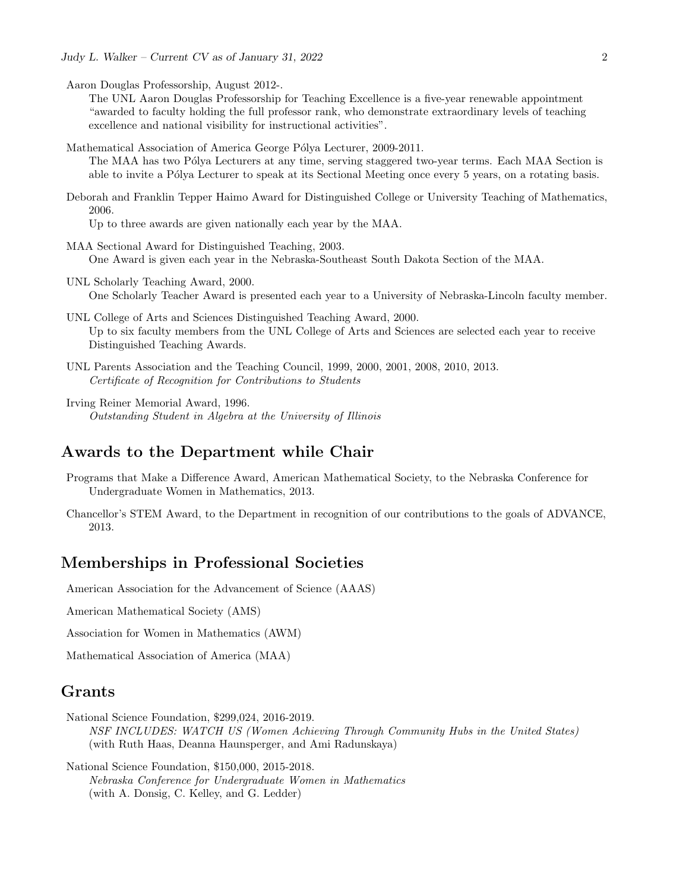- Aaron Douglas Professorship, August 2012-.
	- The UNL Aaron Douglas Professorship for Teaching Excellence is a five-year renewable appointment "awarded to faculty holding the full professor rank, who demonstrate extraordinary levels of teaching excellence and national visibility for instructional activities".
- Mathematical Association of America George Pólya Lecturer, 2009-2011. The MAA has two Pólya Lecturers at any time, serving staggered two-year terms. Each MAA Section is able to invite a Pólya Lecturer to speak at its Sectional Meeting once every 5 years, on a rotating basis.
- Deborah and Franklin Tepper Haimo Award for Distinguished College or University Teaching of Mathematics, 2006.

Up to three awards are given nationally each year by the MAA.

- MAA Sectional Award for Distinguished Teaching, 2003. One Award is given each year in the Nebraska-Southeast South Dakota Section of the MAA.
- UNL Scholarly Teaching Award, 2000. One Scholarly Teacher Award is presented each year to a University of Nebraska-Lincoln faculty member.
- UNL College of Arts and Sciences Distinguished Teaching Award, 2000. Up to six faculty members from the UNL College of Arts and Sciences are selected each year to receive Distinguished Teaching Awards.
- UNL Parents Association and the Teaching Council, 1999, 2000, 2001, 2008, 2010, 2013. Certificate of Recognition for Contributions to Students
- Irving Reiner Memorial Award, 1996. Outstanding Student in Algebra at the University of Illinois

## Awards to the Department while Chair

- Programs that Make a Difference Award, American Mathematical Society, to the Nebraska Conference for Undergraduate Women in Mathematics, 2013.
- Chancellor's STEM Award, to the Department in recognition of our contributions to the goals of ADVANCE, 2013.

## Memberships in Professional Societies

American Association for the Advancement of Science (AAAS)

American Mathematical Society (AMS)

Association for Women in Mathematics (AWM)

Mathematical Association of America (MAA)

## Grants

National Science Foundation, \$299,024, 2016-2019.

NSF INCLUDES: WATCH US (Women Achieving Through Community Hubs in the United States) (with Ruth Haas, Deanna Haunsperger, and Ami Radunskaya)

National Science Foundation, \$150,000, 2015-2018. Nebraska Conference for Undergraduate Women in Mathematics (with A. Donsig, C. Kelley, and G. Ledder)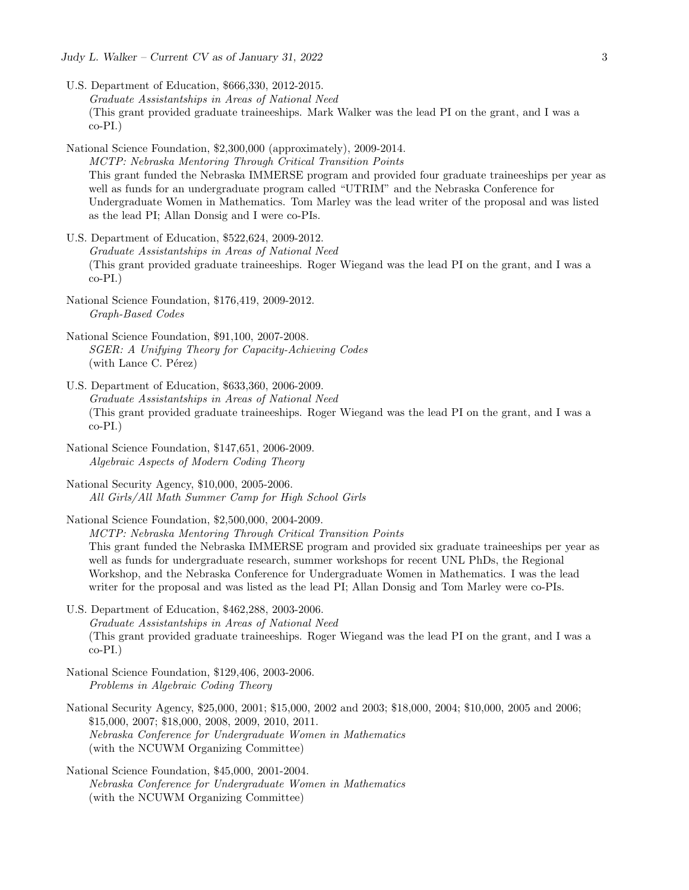Judy L. Walker – Current CV as of January 31, 2022  $\qquad \qquad \qquad 3$ 

- U.S. Department of Education, \$666,330, 2012-2015. Graduate Assistantships in Areas of National Need (This grant provided graduate traineeships. Mark Walker was the lead PI on the grant, and I was a co-PI.)
- National Science Foundation, \$2,300,000 (approximately), 2009-2014. MCTP: Nebraska Mentoring Through Critical Transition Points This grant funded the Nebraska IMMERSE program and provided four graduate traineeships per year as well as funds for an undergraduate program called "UTRIM" and the Nebraska Conference for Undergraduate Women in Mathematics. Tom Marley was the lead writer of the proposal and was listed as the lead PI; Allan Donsig and I were co-PIs.
- U.S. Department of Education, \$522,624, 2009-2012. Graduate Assistantships in Areas of National Need (This grant provided graduate traineeships. Roger Wiegand was the lead PI on the grant, and I was a co-PI.)
- National Science Foundation, \$176,419, 2009-2012. Graph-Based Codes
- National Science Foundation, \$91,100, 2007-2008. SGER: A Unifying Theory for Capacity-Achieving Codes  $(with$  Lance C. Pérez)
- U.S. Department of Education, \$633,360, 2006-2009. Graduate Assistantships in Areas of National Need (This grant provided graduate traineeships. Roger Wiegand was the lead PI on the grant, and I was a co-PI.)
- National Science Foundation, \$147,651, 2006-2009. Algebraic Aspects of Modern Coding Theory
- National Security Agency, \$10,000, 2005-2006. All Girls/All Math Summer Camp for High School Girls

National Science Foundation, \$2,500,000, 2004-2009. MCTP: Nebraska Mentoring Through Critical Transition Points This grant funded the Nebraska IMMERSE program and provided six graduate traineeships per year as well as funds for undergraduate research, summer workshops for recent UNL PhDs, the Regional Workshop, and the Nebraska Conference for Undergraduate Women in Mathematics. I was the lead writer for the proposal and was listed as the lead PI; Allan Donsig and Tom Marley were co-PIs.

- U.S. Department of Education, \$462,288, 2003-2006. Graduate Assistantships in Areas of National Need (This grant provided graduate traineeships. Roger Wiegand was the lead PI on the grant, and I was a  $co-PI.$ )
- National Science Foundation, \$129,406, 2003-2006. Problems in Algebraic Coding Theory
- National Security Agency, \$25,000, 2001; \$15,000, 2002 and 2003; \$18,000, 2004; \$10,000, 2005 and 2006; \$15,000, 2007; \$18,000, 2008, 2009, 2010, 2011. Nebraska Conference for Undergraduate Women in Mathematics (with the NCUWM Organizing Committee)
- National Science Foundation, \$45,000, 2001-2004. Nebraska Conference for Undergraduate Women in Mathematics (with the NCUWM Organizing Committee)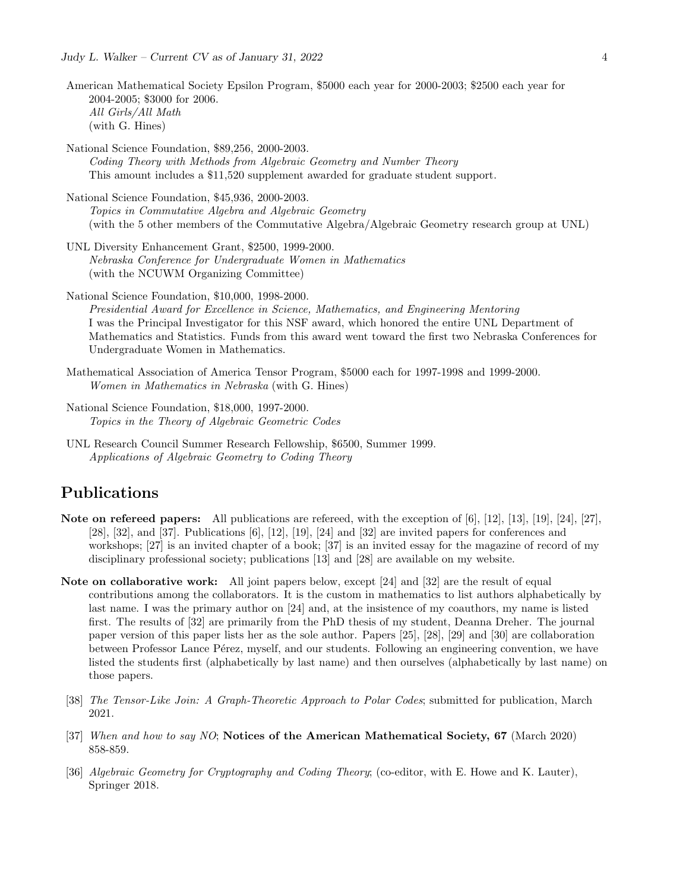- American Mathematical Society Epsilon Program, \$5000 each year for 2000-2003; \$2500 each year for 2004-2005; \$3000 for 2006. All Girls/All Math (with G. Hines)
- National Science Foundation, \$89,256, 2000-2003. Coding Theory with Methods from Algebraic Geometry and Number Theory This amount includes a \$11,520 supplement awarded for graduate student support.
- National Science Foundation, \$45,936, 2000-2003. Topics in Commutative Algebra and Algebraic Geometry (with the 5 other members of the Commutative Algebra/Algebraic Geometry research group at UNL)
- UNL Diversity Enhancement Grant, \$2500, 1999-2000. Nebraska Conference for Undergraduate Women in Mathematics (with the NCUWM Organizing Committee)
- National Science Foundation, \$10,000, 1998-2000. Presidential Award for Excellence in Science, Mathematics, and Engineering Mentoring I was the Principal Investigator for this NSF award, which honored the entire UNL Department of Mathematics and Statistics. Funds from this award went toward the first two Nebraska Conferences for Undergraduate Women in Mathematics.
- Mathematical Association of America Tensor Program, \$5000 each for 1997-1998 and 1999-2000. Women in Mathematics in Nebraska (with G. Hines)
- National Science Foundation, \$18,000, 1997-2000. Topics in the Theory of Algebraic Geometric Codes
- UNL Research Council Summer Research Fellowship, \$6500, Summer 1999. Applications of Algebraic Geometry to Coding Theory

## Publications

- Note on refereed papers: All publications are refereed, with the exception of [6], [12], [13], [19], [24], [27], [28], [32], and [37]. Publications [6], [12], [19], [24] and [32] are invited papers for conferences and workshops; [27] is an invited chapter of a book; [37] is an invited essay for the magazine of record of my disciplinary professional society; publications [13] and [28] are available on my website.
- Note on collaborative work: All joint papers below, except [24] and [32] are the result of equal contributions among the collaborators. It is the custom in mathematics to list authors alphabetically by last name. I was the primary author on [24] and, at the insistence of my coauthors, my name is listed first. The results of [32] are primarily from the PhD thesis of my student, Deanna Dreher. The journal paper version of this paper lists her as the sole author. Papers [25], [28], [29] and [30] are collaboration between Professor Lance Pérez, myself, and our students. Following an engineering convention, we have listed the students first (alphabetically by last name) and then ourselves (alphabetically by last name) on those papers.
- [38] The Tensor-Like Join: A Graph-Theoretic Approach to Polar Codes; submitted for publication, March 2021.
- [37] When and how to say NO; Notices of the American Mathematical Society, 67 (March 2020) 858-859.
- [36] Algebraic Geometry for Cryptography and Coding Theory; (co-editor, with E. Howe and K. Lauter), Springer 2018.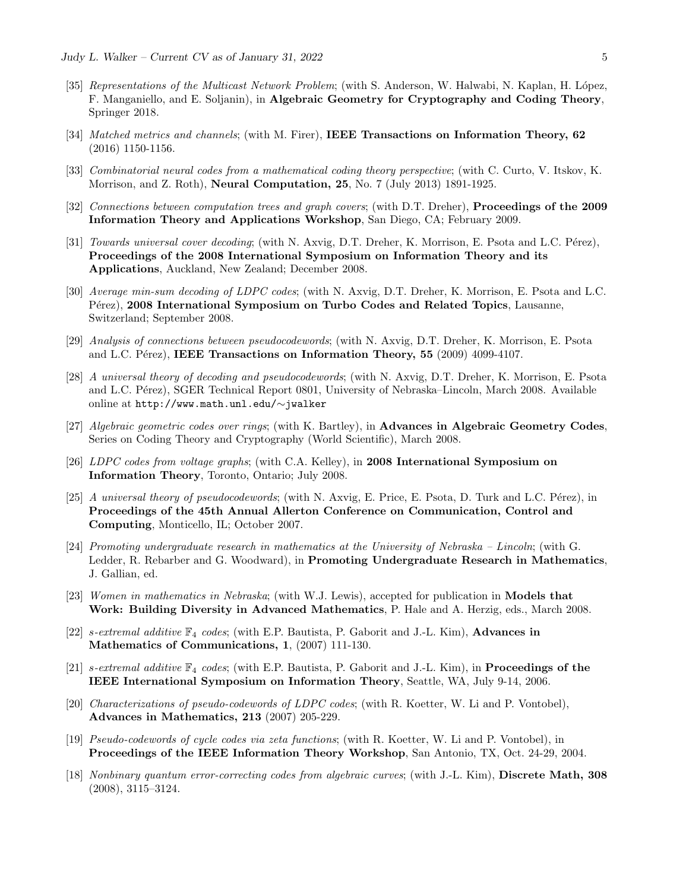- [35] Representations of the Multicast Network Problem; (with S. Anderson, W. Halwabi, N. Kaplan, H. López, F. Manganiello, and E. Soljanin), in Algebraic Geometry for Cryptography and Coding Theory, Springer 2018.
- [34] Matched metrics and channels; (with M. Firer), IEEE Transactions on Information Theory, 62 (2016) 1150-1156.
- [33] Combinatorial neural codes from a mathematical coding theory perspective; (with C. Curto, V. Itskov, K. Morrison, and Z. Roth), Neural Computation, 25, No. 7 (July 2013) 1891-1925.
- [32] Connections between computation trees and graph covers; (with D.T. Dreher), Proceedings of the 2009 Information Theory and Applications Workshop, San Diego, CA; February 2009.
- [31] Towards universal cover decoding; (with N. Axvig, D.T. Dreher, K. Morrison, E. Psota and L.C. Pérez), Proceedings of the 2008 International Symposium on Information Theory and its Applications, Auckland, New Zealand; December 2008.
- [30] Average min-sum decoding of LDPC codes; (with N. Axvig, D.T. Dreher, K. Morrison, E. Psota and L.C. P<sub>etez</sub>), 2008 International Symposium on Turbo Codes and Related Topics, Lausanne, Switzerland; September 2008.
- [29] Analysis of connections between pseudocodewords; (with N. Axvig, D.T. Dreher, K. Morrison, E. Psota and L.C. Pérez), IEEE Transactions on Information Theory,  $55$  (2009) 4099-4107.
- [28] A universal theory of decoding and pseudocodewords; (with N. Axvig, D.T. Dreher, K. Morrison, E. Psota and L.C. Pérez), SGER Technical Report 0801, University of Nebraska–Lincoln, March 2008. Available online at http://www.math.unl.edu/∼jwalker
- [27] Algebraic geometric codes over rings; (with K. Bartley), in **Advances in Algebraic Geometry Codes**, Series on Coding Theory and Cryptography (World Scientific), March 2008.
- [26] LDPC codes from voltage graphs; (with C.A. Kelley), in 2008 International Symposium on Information Theory, Toronto, Ontario; July 2008.
- [25] A universal theory of pseudocodewords; (with N. Axvig, E. Price, E. Psota, D. Turk and L.C. Pérez), in Proceedings of the 45th Annual Allerton Conference on Communication, Control and Computing, Monticello, IL; October 2007.
- [24] Promoting undergraduate research in mathematics at the University of Nebraska Lincoln; (with G. Ledder, R. Rebarber and G. Woodward), in Promoting Undergraduate Research in Mathematics, J. Gallian, ed.
- [23] Women in mathematics in Nebraska; (with W.J. Lewis), accepted for publication in Models that Work: Building Diversity in Advanced Mathematics, P. Hale and A. Herzig, eds., March 2008.
- [22] s-extremal additive  $\mathbb{F}_4$  codes; (with E.P. Bautista, P. Gaborit and J.-L. Kim), **Advances in** Mathematics of Communications, 1, (2007) 111-130.
- [21] s-extremal additive  $\mathbb{F}_4$  codes; (with E.P. Bautista, P. Gaborit and J.-L. Kim), in **Proceedings of the** IEEE International Symposium on Information Theory, Seattle, WA, July 9-14, 2006.
- [20] Characterizations of pseudo-codewords of LDPC codes; (with R. Koetter, W. Li and P. Vontobel), Advances in Mathematics, 213 (2007) 205-229.
- [19] Pseudo-codewords of cycle codes via zeta functions; (with R. Koetter, W. Li and P. Vontobel), in Proceedings of the IEEE Information Theory Workshop, San Antonio, TX, Oct. 24-29, 2004.
- [18] Nonbinary quantum error-correcting codes from algebraic curves; (with J.-L. Kim), Discrete Math, 308 (2008), 3115–3124.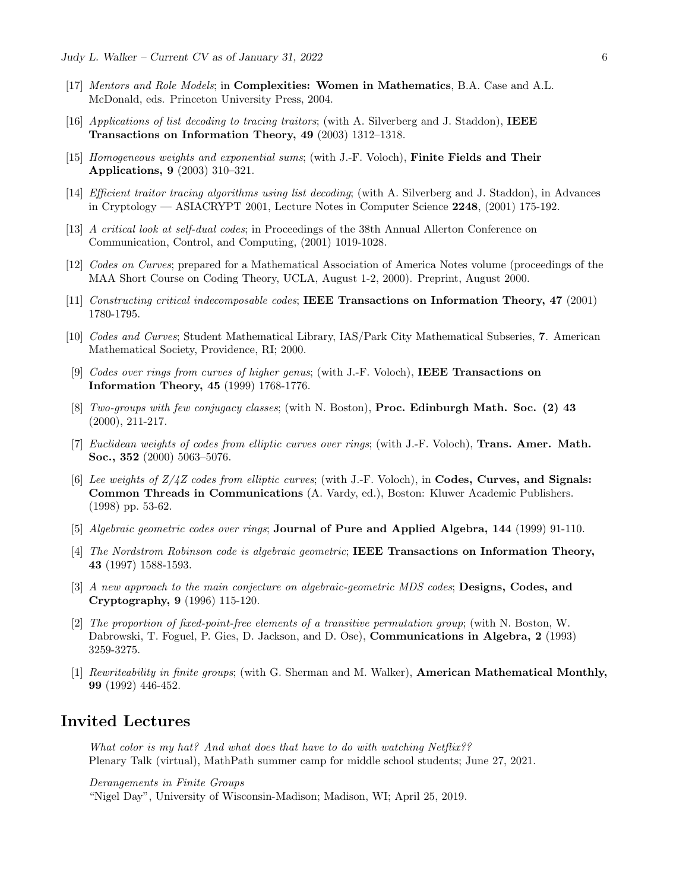- [17] Mentors and Role Models; in Complexities: Women in Mathematics, B.A. Case and A.L. McDonald, eds. Princeton University Press, 2004.
- [16] Applications of list decoding to tracing traitors; (with A. Silverberg and J. Staddon), IEEE Transactions on Information Theory, 49 (2003) 1312–1318.
- [15] Homogeneous weights and exponential sums; (with J.-F. Voloch), Finite Fields and Their Applications, 9 (2003) 310–321.
- [14] Efficient traitor tracing algorithms using list decoding; (with A. Silverberg and J. Staddon), in Advances in Cryptology — ASIACRYPT 2001, Lecture Notes in Computer Science  $2248$ , (2001) 175-192.
- [13] A critical look at self-dual codes; in Proceedings of the 38th Annual Allerton Conference on Communication, Control, and Computing, (2001) 1019-1028.
- [12] Codes on Curves; prepared for a Mathematical Association of America Notes volume (proceedings of the MAA Short Course on Coding Theory, UCLA, August 1-2, 2000). Preprint, August 2000.
- [11] Constructing critical indecomposable codes; IEEE Transactions on Information Theory, 47 (2001) 1780-1795.
- [10] Codes and Curves; Student Mathematical Library, IAS/Park City Mathematical Subseries, 7. American Mathematical Society, Providence, RI; 2000.
- [9] Codes over rings from curves of higher genus; (with J.-F. Voloch), IEEE Transactions on Information Theory, 45 (1999) 1768-1776.
- [8] Two-groups with few conjugacy classes; (with N. Boston), **Proc. Edinburgh Math. Soc. (2) 43** (2000), 211-217.
- [7] Euclidean weights of codes from elliptic curves over rings; (with J.-F. Voloch), **Trans. Amer. Math.** Soc., 352 (2000) 5063–5076.
- [6] Lee weights of  $Z/4Z$  codes from elliptic curves; (with J.-F. Voloch), in **Codes, Curves, and Signals:** Common Threads in Communications (A. Vardy, ed.), Boston: Kluwer Academic Publishers. (1998) pp. 53-62.
- [5] Algebraic geometric codes over rings; Journal of Pure and Applied Algebra, 144 (1999) 91-110.
- [4] The Nordstrom Robinson code is algebraic geometric; IEEE Transactions on Information Theory, 43 (1997) 1588-1593.
- [3] A new approach to the main conjecture on algebraic-geometric MDS codes; **Designs, Codes, and** Cryptography, 9 (1996) 115-120.
- [2] The proportion of fixed-point-free elements of a transitive permutation group; (with N. Boston, W. Dabrowski, T. Foguel, P. Gies, D. Jackson, and D. Ose), Communications in Algebra, 2 (1993) 3259-3275.
- [1] Rewriteability in finite groups; (with G. Sherman and M. Walker), **American Mathematical Monthly**, 99 (1992) 446-452.

## Invited Lectures

What color is my hat? And what does that have to do with watching Netflix?? Plenary Talk (virtual), MathPath summer camp for middle school students; June 27, 2021.

Derangements in Finite Groups

"Nigel Day", University of Wisconsin-Madison; Madison, WI; April 25, 2019.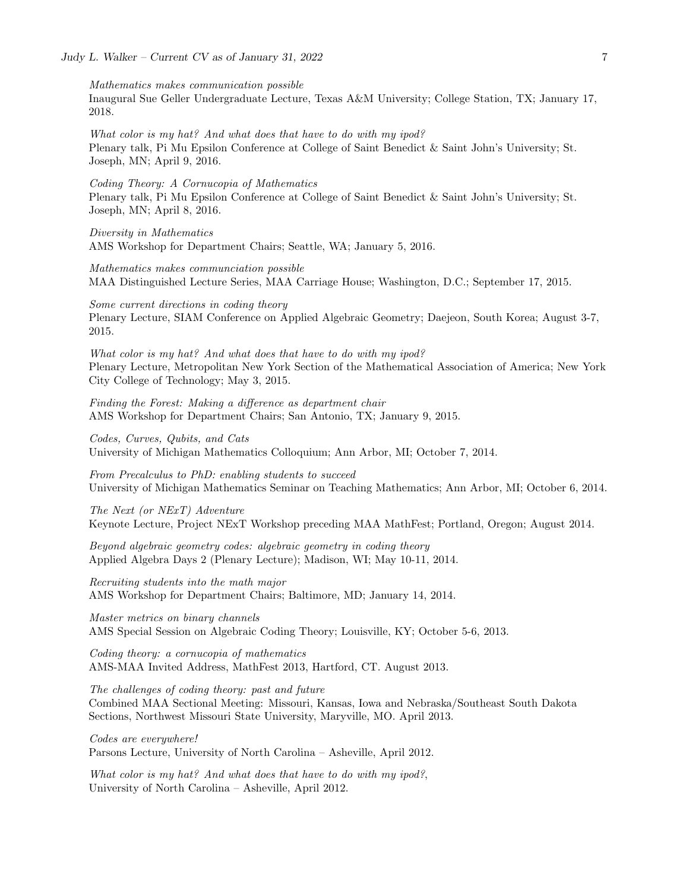Mathematics makes communication possible Inaugural Sue Geller Undergraduate Lecture, Texas A&M University; College Station, TX; January 17, 2018.

What color is my hat? And what does that have to do with my ipod? Plenary talk, Pi Mu Epsilon Conference at College of Saint Benedict & Saint John's University; St. Joseph, MN; April 9, 2016.

Coding Theory: A Cornucopia of Mathematics Plenary talk, Pi Mu Epsilon Conference at College of Saint Benedict & Saint John's University; St. Joseph, MN; April 8, 2016.

Diversity in Mathematics AMS Workshop for Department Chairs; Seattle, WA; January 5, 2016.

Mathematics makes communciation possible MAA Distinguished Lecture Series, MAA Carriage House; Washington, D.C.; September 17, 2015.

Some current directions in coding theory Plenary Lecture, SIAM Conference on Applied Algebraic Geometry; Daejeon, South Korea; August 3-7, 2015.

What color is my hat? And what does that have to do with my ipod? Plenary Lecture, Metropolitan New York Section of the Mathematical Association of America; New York City College of Technology; May 3, 2015.

Finding the Forest: Making a difference as department chair AMS Workshop for Department Chairs; San Antonio, TX; January 9, 2015.

Codes, Curves, Qubits, and Cats University of Michigan Mathematics Colloquium; Ann Arbor, MI; October 7, 2014.

From Precalculus to PhD: enabling students to succeed University of Michigan Mathematics Seminar on Teaching Mathematics; Ann Arbor, MI; October 6, 2014.

The Next (or NExT) Adventure Keynote Lecture, Project NExT Workshop preceding MAA MathFest; Portland, Oregon; August 2014.

Beyond algebraic geometry codes: algebraic geometry in coding theory Applied Algebra Days 2 (Plenary Lecture); Madison, WI; May 10-11, 2014.

Recruiting students into the math major AMS Workshop for Department Chairs; Baltimore, MD; January 14, 2014.

Master metrics on binary channels AMS Special Session on Algebraic Coding Theory; Louisville, KY; October 5-6, 2013.

Coding theory: a cornucopia of mathematics AMS-MAA Invited Address, MathFest 2013, Hartford, CT. August 2013.

The challenges of coding theory: past and future

Combined MAA Sectional Meeting: Missouri, Kansas, Iowa and Nebraska/Southeast South Dakota Sections, Northwest Missouri State University, Maryville, MO. April 2013.

Codes are everywhere! Parsons Lecture, University of North Carolina – Asheville, April 2012.

What color is my hat? And what does that have to do with my ipod?, University of North Carolina – Asheville, April 2012.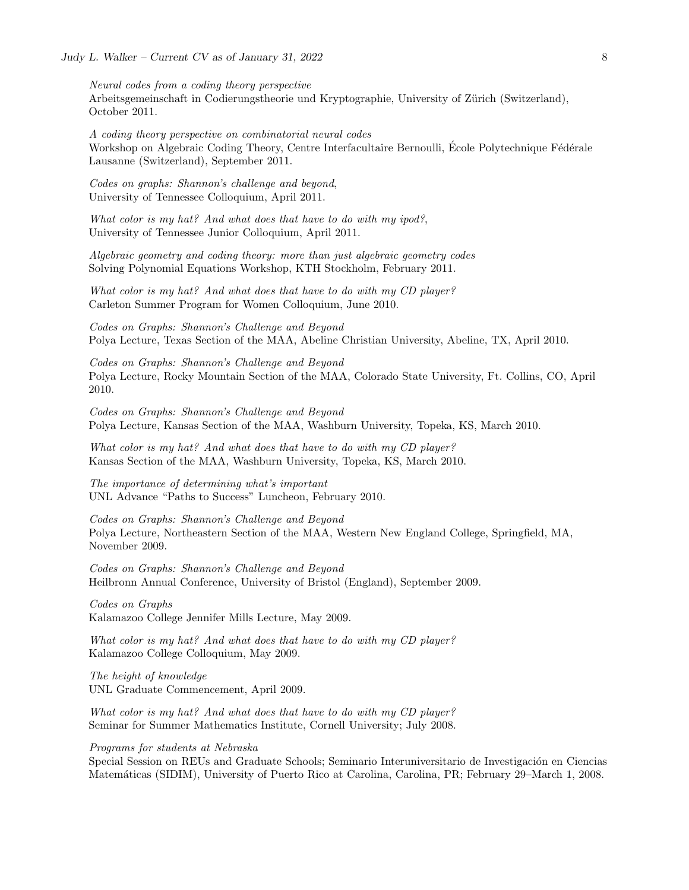Neural codes from a coding theory perspective Arbeitsgemeinschaft in Codierungstheorie und Kryptographie, University of Zürich (Switzerland), October 2011.

A coding theory perspective on combinatorial neural codes Workshop on Algebraic Coding Theory, Centre Interfacultaire Bernoulli, École Polytechnique Fédérale Lausanne (Switzerland), September 2011.

Codes on graphs: Shannon's challenge and beyond, University of Tennessee Colloquium, April 2011.

What color is my hat? And what does that have to do with my ipod?, University of Tennessee Junior Colloquium, April 2011.

Algebraic geometry and coding theory: more than just algebraic geometry codes Solving Polynomial Equations Workshop, KTH Stockholm, February 2011.

What color is my hat? And what does that have to do with my CD player? Carleton Summer Program for Women Colloquium, June 2010.

Codes on Graphs: Shannon's Challenge and Beyond Polya Lecture, Texas Section of the MAA, Abeline Christian University, Abeline, TX, April 2010.

Codes on Graphs: Shannon's Challenge and Beyond Polya Lecture, Rocky Mountain Section of the MAA, Colorado State University, Ft. Collins, CO, April 2010.

Codes on Graphs: Shannon's Challenge and Beyond Polya Lecture, Kansas Section of the MAA, Washburn University, Topeka, KS, March 2010.

What color is my hat? And what does that have to do with my CD player? Kansas Section of the MAA, Washburn University, Topeka, KS, March 2010.

The importance of determining what's important UNL Advance "Paths to Success" Luncheon, February 2010.

Codes on Graphs: Shannon's Challenge and Beyond Polya Lecture, Northeastern Section of the MAA, Western New England College, Springfield, MA, November 2009.

Codes on Graphs: Shannon's Challenge and Beyond Heilbronn Annual Conference, University of Bristol (England), September 2009.

Codes on Graphs Kalamazoo College Jennifer Mills Lecture, May 2009.

What color is my hat? And what does that have to do with my CD player? Kalamazoo College Colloquium, May 2009.

The height of knowledge UNL Graduate Commencement, April 2009.

What color is my hat? And what does that have to do with my CD player? Seminar for Summer Mathematics Institute, Cornell University; July 2008.

Programs for students at Nebraska

Special Session on REUs and Graduate Schools; Seminario Interuniversitario de Investigación en Ciencias Matemáticas (SIDIM), University of Puerto Rico at Carolina, Carolina, PR; February 29–March 1, 2008.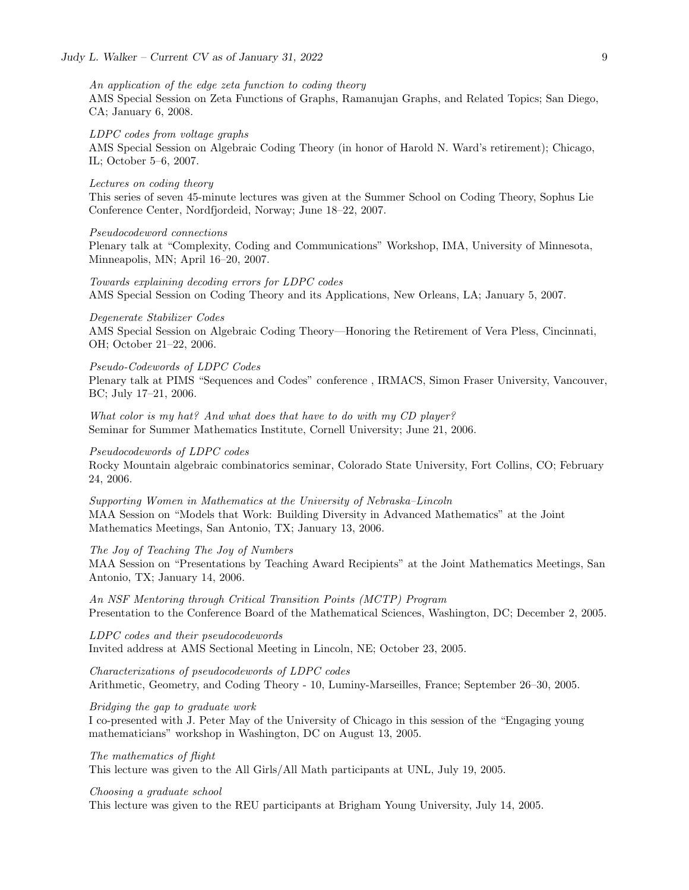## An application of the edge zeta function to coding theory

AMS Special Session on Zeta Functions of Graphs, Ramanujan Graphs, and Related Topics; San Diego, CA; January 6, 2008.

## LDPC codes from voltage graphs

AMS Special Session on Algebraic Coding Theory (in honor of Harold N. Ward's retirement); Chicago, IL; October 5–6, 2007.

## Lectures on coding theory

This series of seven 45-minute lectures was given at the Summer School on Coding Theory, Sophus Lie Conference Center, Nordfjordeid, Norway; June 18–22, 2007.

## Pseudocodeword connections

Plenary talk at "Complexity, Coding and Communications" Workshop, IMA, University of Minnesota, Minneapolis, MN; April 16–20, 2007.

Towards explaining decoding errors for LDPC codes AMS Special Session on Coding Theory and its Applications, New Orleans, LA; January 5, 2007.

Degenerate Stabilizer Codes AMS Special Session on Algebraic Coding Theory—Honoring the Retirement of Vera Pless, Cincinnati, OH; October 21–22, 2006.

### Pseudo-Codewords of LDPC Codes

Plenary talk at PIMS "Sequences and Codes" conference , IRMACS, Simon Fraser University, Vancouver, BC; July 17–21, 2006.

What color is my hat? And what does that have to do with my CD player? Seminar for Summer Mathematics Institute, Cornell University; June 21, 2006.

## Pseudocodewords of LDPC codes

Rocky Mountain algebraic combinatorics seminar, Colorado State University, Fort Collins, CO; February 24, 2006.

Supporting Women in Mathematics at the University of Nebraska–Lincoln MAA Session on "Models that Work: Building Diversity in Advanced Mathematics" at the Joint Mathematics Meetings, San Antonio, TX; January 13, 2006.

## The Joy of Teaching The Joy of Numbers

MAA Session on "Presentations by Teaching Award Recipients" at the Joint Mathematics Meetings, San Antonio, TX; January 14, 2006.

An NSF Mentoring through Critical Transition Points (MCTP) Program Presentation to the Conference Board of the Mathematical Sciences, Washington, DC; December 2, 2005.

LDPC codes and their pseudocodewords Invited address at AMS Sectional Meeting in Lincoln, NE; October 23, 2005.

Characterizations of pseudocodewords of LDPC codes Arithmetic, Geometry, and Coding Theory - 10, Luminy-Marseilles, France; September 26–30, 2005.

#### Bridging the gap to graduate work

I co-presented with J. Peter May of the University of Chicago in this session of the "Engaging young mathematicians" workshop in Washington, DC on August 13, 2005.

### The mathematics of flight

This lecture was given to the All Girls/All Math participants at UNL, July 19, 2005.

## Choosing a graduate school

This lecture was given to the REU participants at Brigham Young University, July 14, 2005.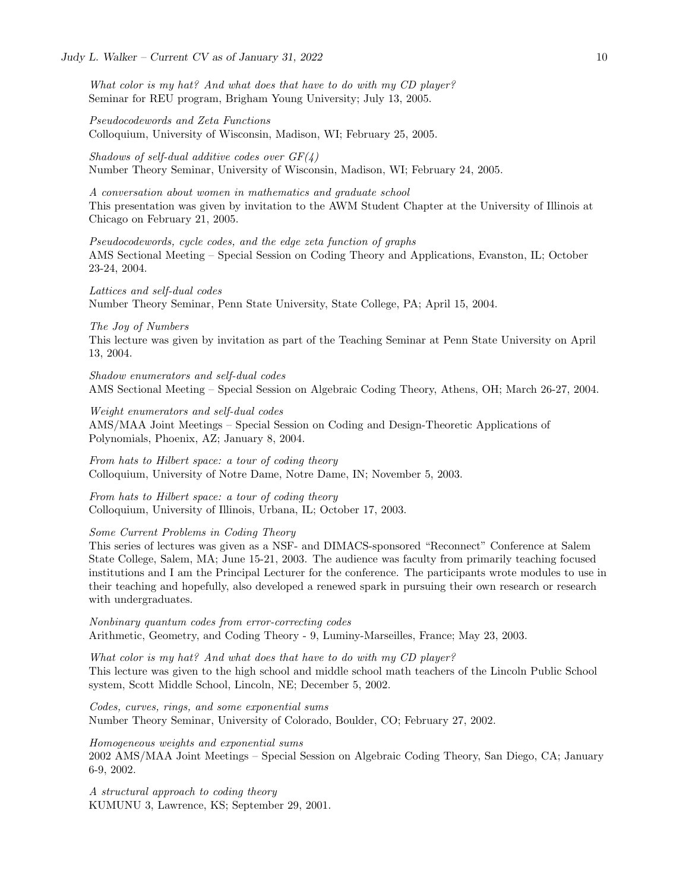What color is my hat? And what does that have to do with my CD player? Seminar for REU program, Brigham Young University; July 13, 2005.

Pseudocodewords and Zeta Functions Colloquium, University of Wisconsin, Madison, WI; February 25, 2005.

Shadows of self-dual additive codes over  $GF(4)$ Number Theory Seminar, University of Wisconsin, Madison, WI; February 24, 2005.

A conversation about women in mathematics and graduate school This presentation was given by invitation to the AWM Student Chapter at the University of Illinois at Chicago on February 21, 2005.

Pseudocodewords, cycle codes, and the edge zeta function of graphs AMS Sectional Meeting – Special Session on Coding Theory and Applications, Evanston, IL; October 23-24, 2004.

Lattices and self-dual codes Number Theory Seminar, Penn State University, State College, PA; April 15, 2004.

#### The Joy of Numbers

This lecture was given by invitation as part of the Teaching Seminar at Penn State University on April 13, 2004.

Shadow enumerators and self-dual codes AMS Sectional Meeting – Special Session on Algebraic Coding Theory, Athens, OH; March 26-27, 2004.

Weight enumerators and self-dual codes AMS/MAA Joint Meetings – Special Session on Coding and Design-Theoretic Applications of Polynomials, Phoenix, AZ; January 8, 2004.

From hats to Hilbert space: a tour of coding theory Colloquium, University of Notre Dame, Notre Dame, IN; November 5, 2003.

From hats to Hilbert space: a tour of coding theory Colloquium, University of Illinois, Urbana, IL; October 17, 2003.

Some Current Problems in Coding Theory

This series of lectures was given as a NSF- and DIMACS-sponsored "Reconnect" Conference at Salem State College, Salem, MA; June 15-21, 2003. The audience was faculty from primarily teaching focused institutions and I am the Principal Lecturer for the conference. The participants wrote modules to use in their teaching and hopefully, also developed a renewed spark in pursuing their own research or research with undergraduates.

Nonbinary quantum codes from error-correcting codes Arithmetic, Geometry, and Coding Theory - 9, Luminy-Marseilles, France; May 23, 2003.

What color is my hat? And what does that have to do with my CD player? This lecture was given to the high school and middle school math teachers of the Lincoln Public School system, Scott Middle School, Lincoln, NE; December 5, 2002.

Codes, curves, rings, and some exponential sums Number Theory Seminar, University of Colorado, Boulder, CO; February 27, 2002.

Homogeneous weights and exponential sums 2002 AMS/MAA Joint Meetings – Special Session on Algebraic Coding Theory, San Diego, CA; January 6-9, 2002.

A structural approach to coding theory KUMUNU 3, Lawrence, KS; September 29, 2001.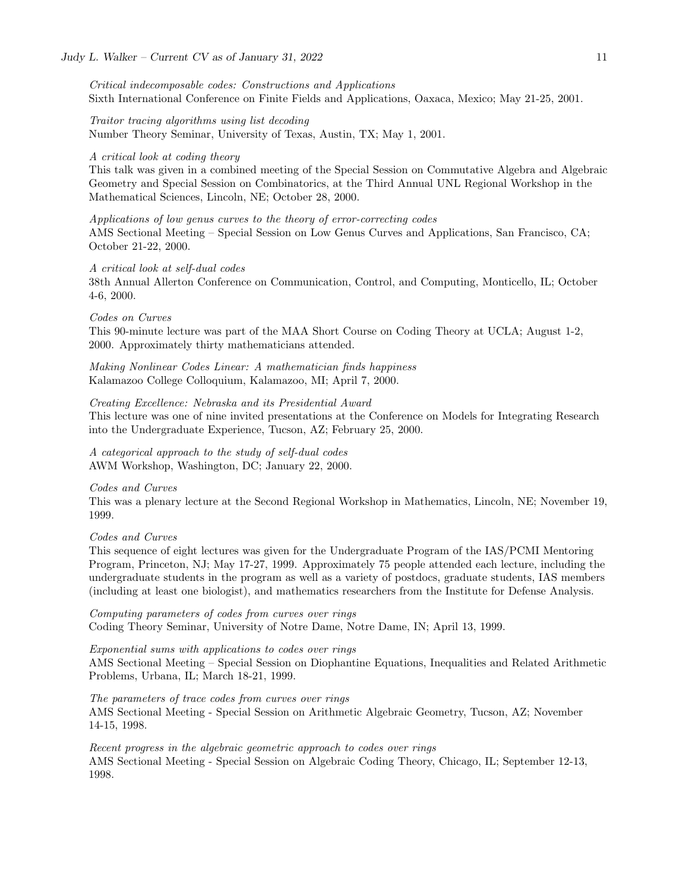Critical indecomposable codes: Constructions and Applications Sixth International Conference on Finite Fields and Applications, Oaxaca, Mexico; May 21-25, 2001.

Traitor tracing algorithms using list decoding Number Theory Seminar, University of Texas, Austin, TX; May 1, 2001.

#### A critical look at coding theory

This talk was given in a combined meeting of the Special Session on Commutative Algebra and Algebraic Geometry and Special Session on Combinatorics, at the Third Annual UNL Regional Workshop in the Mathematical Sciences, Lincoln, NE; October 28, 2000.

## Applications of low genus curves to the theory of error-correcting codes AMS Sectional Meeting – Special Session on Low Genus Curves and Applications, San Francisco, CA; October 21-22, 2000.

#### A critical look at self-dual codes

38th Annual Allerton Conference on Communication, Control, and Computing, Monticello, IL; October 4-6, 2000.

## Codes on Curves

This 90-minute lecture was part of the MAA Short Course on Coding Theory at UCLA; August 1-2, 2000. Approximately thirty mathematicians attended.

Making Nonlinear Codes Linear: A mathematician finds happiness Kalamazoo College Colloquium, Kalamazoo, MI; April 7, 2000.

## Creating Excellence: Nebraska and its Presidential Award

This lecture was one of nine invited presentations at the Conference on Models for Integrating Research into the Undergraduate Experience, Tucson, AZ; February 25, 2000.

A categorical approach to the study of self-dual codes AWM Workshop, Washington, DC; January 22, 2000.

### Codes and Curves

This was a plenary lecture at the Second Regional Workshop in Mathematics, Lincoln, NE; November 19, 1999.

## Codes and Curves

This sequence of eight lectures was given for the Undergraduate Program of the IAS/PCMI Mentoring Program, Princeton, NJ; May 17-27, 1999. Approximately 75 people attended each lecture, including the undergraduate students in the program as well as a variety of postdocs, graduate students, IAS members (including at least one biologist), and mathematics researchers from the Institute for Defense Analysis.

Computing parameters of codes from curves over rings Coding Theory Seminar, University of Notre Dame, Notre Dame, IN; April 13, 1999.

## Exponential sums with applications to codes over rings

AMS Sectional Meeting – Special Session on Diophantine Equations, Inequalities and Related Arithmetic Problems, Urbana, IL; March 18-21, 1999.

The parameters of trace codes from curves over rings AMS Sectional Meeting - Special Session on Arithmetic Algebraic Geometry, Tucson, AZ; November 14-15, 1998.

Recent progress in the algebraic geometric approach to codes over rings AMS Sectional Meeting - Special Session on Algebraic Coding Theory, Chicago, IL; September 12-13, 1998.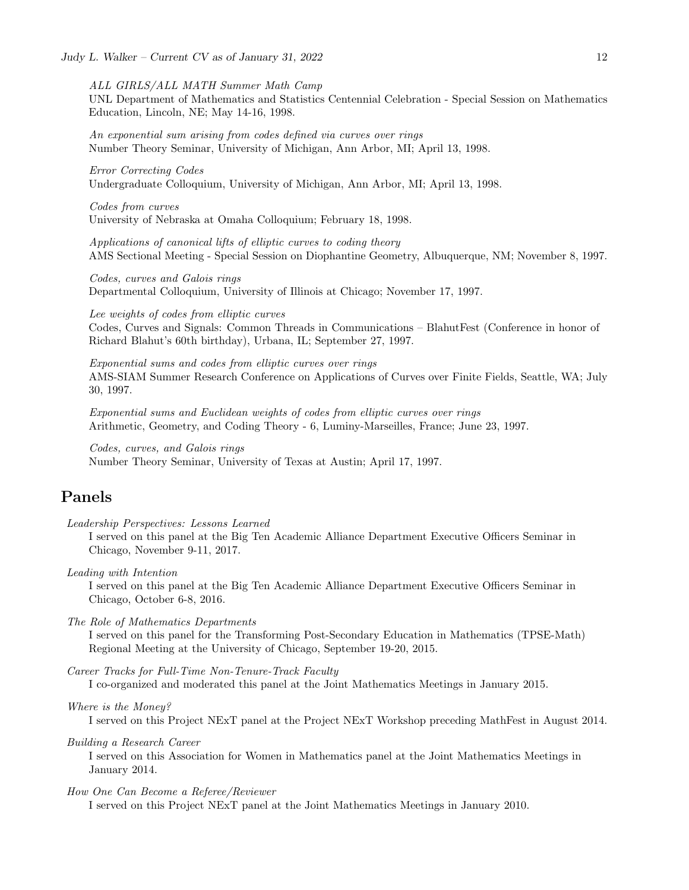ALL GIRLS/ALL MATH Summer Math Camp

UNL Department of Mathematics and Statistics Centennial Celebration - Special Session on Mathematics Education, Lincoln, NE; May 14-16, 1998.

An exponential sum arising from codes defined via curves over rings Number Theory Seminar, University of Michigan, Ann Arbor, MI; April 13, 1998.

Error Correcting Codes Undergraduate Colloquium, University of Michigan, Ann Arbor, MI; April 13, 1998.

Codes from curves University of Nebraska at Omaha Colloquium; February 18, 1998.

Applications of canonical lifts of elliptic curves to coding theory AMS Sectional Meeting - Special Session on Diophantine Geometry, Albuquerque, NM; November 8, 1997.

Codes, curves and Galois rings Departmental Colloquium, University of Illinois at Chicago; November 17, 1997.

Lee weights of codes from elliptic curves Codes, Curves and Signals: Common Threads in Communications – BlahutFest (Conference in honor of Richard Blahut's 60th birthday), Urbana, IL; September 27, 1997.

Exponential sums and codes from elliptic curves over rings AMS-SIAM Summer Research Conference on Applications of Curves over Finite Fields, Seattle, WA; July 30, 1997.

Exponential sums and Euclidean weights of codes from elliptic curves over rings Arithmetic, Geometry, and Coding Theory - 6, Luminy-Marseilles, France; June 23, 1997.

Codes, curves, and Galois rings Number Theory Seminar, University of Texas at Austin; April 17, 1997.

# Panels

Leadership Perspectives: Lessons Learned

I served on this panel at the Big Ten Academic Alliance Department Executive Officers Seminar in Chicago, November 9-11, 2017.

Leading with Intention

I served on this panel at the Big Ten Academic Alliance Department Executive Officers Seminar in Chicago, October 6-8, 2016.

The Role of Mathematics Departments

I served on this panel for the Transforming Post-Secondary Education in Mathematics (TPSE-Math) Regional Meeting at the University of Chicago, September 19-20, 2015.

Career Tracks for Full-Time Non-Tenure-Track Faculty

I co-organized and moderated this panel at the Joint Mathematics Meetings in January 2015.

Where is the Money?

I served on this Project NExT panel at the Project NExT Workshop preceding MathFest in August 2014.

Building a Research Career

I served on this Association for Women in Mathematics panel at the Joint Mathematics Meetings in January 2014.

## How One Can Become a Referee/Reviewer

I served on this Project NExT panel at the Joint Mathematics Meetings in January 2010.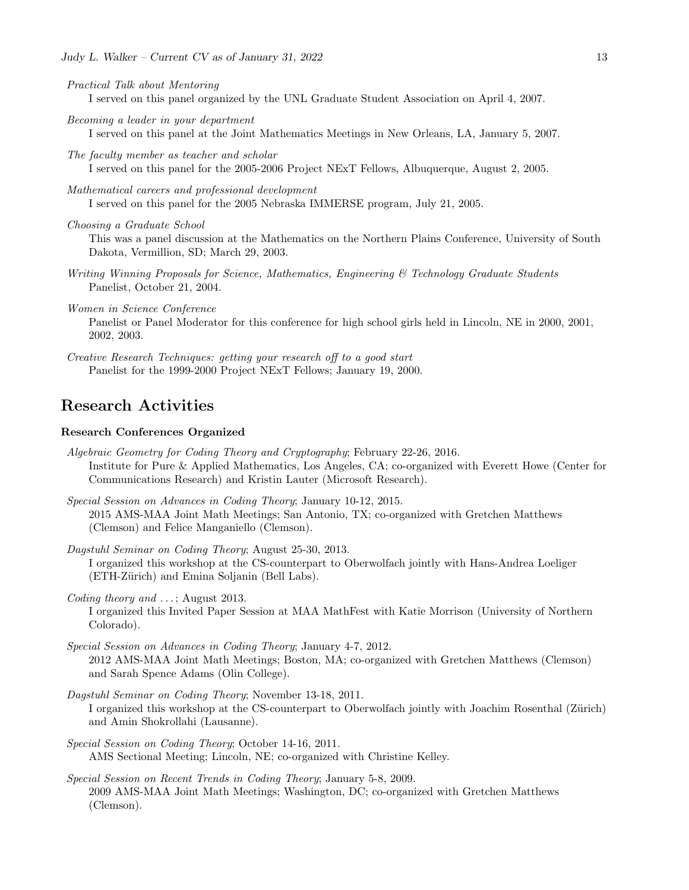- Practical Talk about Mentoring I served on this panel organized by the UNL Graduate Student Association on April 4, 2007.
- Becoming a leader in your department

I served on this panel at the Joint Mathematics Meetings in New Orleans, LA, January 5, 2007.

The faculty member as teacher and scholar I served on this panel for the 2005-2006 Project NExT Fellows, Albuquerque, August 2, 2005.

Mathematical careers and professional development I served on this panel for the 2005 Nebraska IMMERSE program, July 21, 2005.

Choosing a Graduate School

This was a panel discussion at the Mathematics on the Northern Plains Conference, University of South Dakota, Vermillion, SD; March 29, 2003.

Writing Winning Proposals for Science, Mathematics, Engineering & Technology Graduate Students Panelist, October 21, 2004.

Women in Science Conference

Panelist or Panel Moderator for this conference for high school girls held in Lincoln, NE in 2000, 2001, 2002, 2003.

Creative Research Techniques: getting your research off to a good start Panelist for the 1999-2000 Project NExT Fellows; January 19, 2000.

## Research Activities

## Research Conferences Organized

- Algebraic Geometry for Coding Theory and Cryptography; February 22-26, 2016. Institute for Pure & Applied Mathematics, Los Angeles, CA; co-organized with Everett Howe (Center for Communications Research) and Kristin Lauter (Microsoft Research).
- Special Session on Advances in Coding Theory; January 10-12, 2015. 2015 AMS-MAA Joint Math Meetings; San Antonio, TX; co-organized with Gretchen Matthews (Clemson) and Felice Manganiello (Clemson).
- Dagstuhl Seminar on Coding Theory; August 25-30, 2013. I organized this workshop at the CS-counterpart to Oberwolfach jointly with Hans-Andrea Loeliger (ETH-Zürich) and Emina Soljanin (Bell Labs).
- Coding theory and ...; August 2013.

I organized this Invited Paper Session at MAA MathFest with Katie Morrison (University of Northern Colorado).

Special Session on Advances in Coding Theory; January 4-7, 2012. 2012 AMS-MAA Joint Math Meetings; Boston, MA; co-organized with Gretchen Matthews (Clemson) and Sarah Spence Adams (Olin College).

- Dagstuhl Seminar on Coding Theory; November 13-18, 2011. I organized this workshop at the CS-counterpart to Oberwolfach jointly with Joachim Rosenthal (Zürich) and Amin Shokrollahi (Lausanne).
- Special Session on Coding Theory; October 14-16, 2011. AMS Sectional Meeting; Lincoln, NE; co-organized with Christine Kelley.
- Special Session on Recent Trends in Coding Theory; January 5-8, 2009. 2009 AMS-MAA Joint Math Meetings; Washington, DC; co-organized with Gretchen Matthews (Clemson).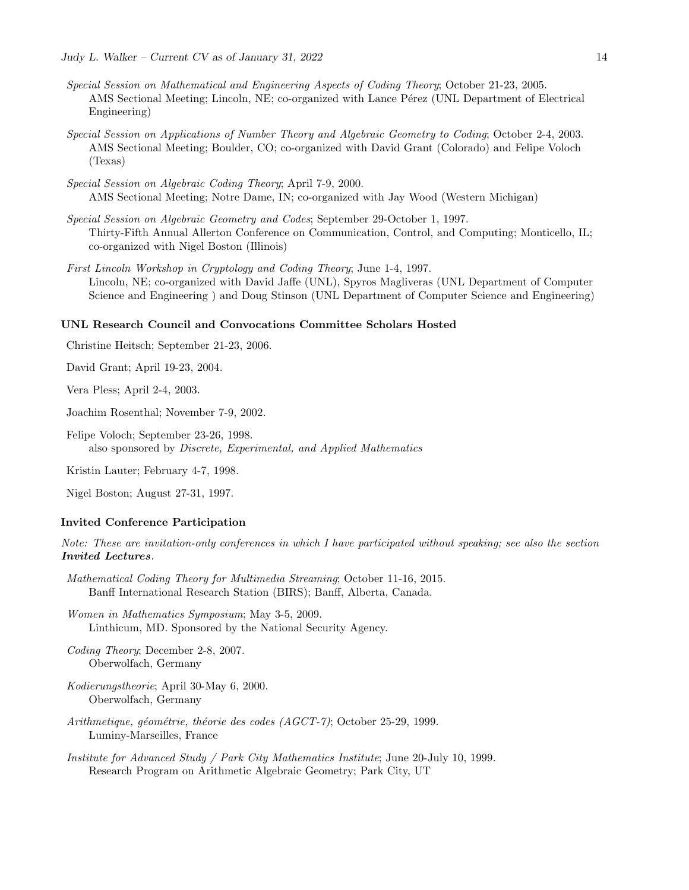- Special Session on Mathematical and Engineering Aspects of Coding Theory; October 21-23, 2005. AMS Sectional Meeting; Lincoln, NE; co-organized with Lance Pérez (UNL Department of Electrical Engineering)
- Special Session on Applications of Number Theory and Algebraic Geometry to Coding; October 2-4, 2003. AMS Sectional Meeting; Boulder, CO; co-organized with David Grant (Colorado) and Felipe Voloch (Texas)
- Special Session on Algebraic Coding Theory; April 7-9, 2000. AMS Sectional Meeting; Notre Dame, IN; co-organized with Jay Wood (Western Michigan)
- Special Session on Algebraic Geometry and Codes; September 29-October 1, 1997. Thirty-Fifth Annual Allerton Conference on Communication, Control, and Computing; Monticello, IL; co-organized with Nigel Boston (Illinois)
- First Lincoln Workshop in Cryptology and Coding Theory; June 1-4, 1997. Lincoln, NE; co-organized with David Jaffe (UNL), Spyros Magliveras (UNL Department of Computer Science and Engineering ) and Doug Stinson (UNL Department of Computer Science and Engineering)

### UNL Research Council and Convocations Committee Scholars Hosted

Christine Heitsch; September 21-23, 2006.

David Grant; April 19-23, 2004.

Vera Pless; April 2-4, 2003.

Joachim Rosenthal; November 7-9, 2002.

Felipe Voloch; September 23-26, 1998. also sponsored by Discrete, Experimental, and Applied Mathematics

Kristin Lauter; February 4-7, 1998.

Nigel Boston; August 27-31, 1997.

## Invited Conference Participation

Note: These are invitation-only conferences in which I have participated without speaking; see also the section Invited Lectures.

- Mathematical Coding Theory for Multimedia Streaming; October 11-16, 2015. Banff International Research Station (BIRS); Banff, Alberta, Canada.
- Women in Mathematics Symposium; May 3-5, 2009. Linthicum, MD. Sponsored by the National Security Agency.

Coding Theory; December 2-8, 2007. Oberwolfach, Germany

- Kodierungstheorie; April 30-May 6, 2000. Oberwolfach, Germany
- Arithmetique, géométrie, théorie des codes (AGCT-7); October 25-29, 1999. Luminy-Marseilles, France
- Institute for Advanced Study / Park City Mathematics Institute; June 20-July 10, 1999. Research Program on Arithmetic Algebraic Geometry; Park City, UT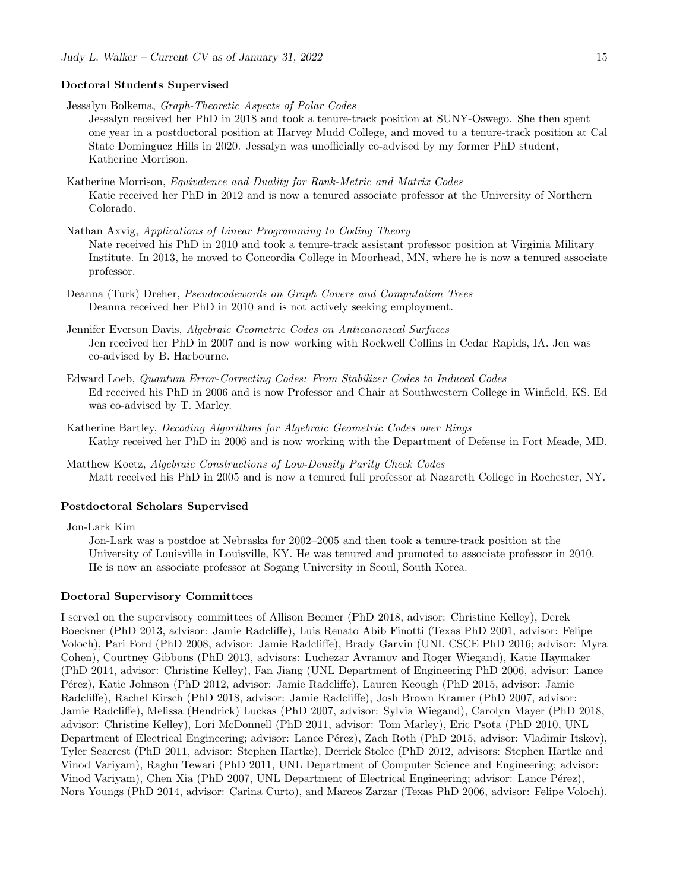## Doctoral Students Supervised

Jessalyn Bolkema, Graph-Theoretic Aspects of Polar Codes

Jessalyn received her PhD in 2018 and took a tenure-track position at SUNY-Oswego. She then spent one year in a postdoctoral position at Harvey Mudd College, and moved to a tenure-track position at Cal State Dominguez Hills in 2020. Jessalyn was unofficially co-advised by my former PhD student, Katherine Morrison.

Katherine Morrison, Equivalence and Duality for Rank-Metric and Matrix Codes Katie received her PhD in 2012 and is now a tenured associate professor at the University of Northern Colorado.

- Nathan Axvig, Applications of Linear Programming to Coding Theory Nate received his PhD in 2010 and took a tenure-track assistant professor position at Virginia Military Institute. In 2013, he moved to Concordia College in Moorhead, MN, where he is now a tenured associate professor.
- Deanna (Turk) Dreher, Pseudocodewords on Graph Covers and Computation Trees Deanna received her PhD in 2010 and is not actively seeking employment.
- Jennifer Everson Davis, Algebraic Geometric Codes on Anticanonical Surfaces Jen received her PhD in 2007 and is now working with Rockwell Collins in Cedar Rapids, IA. Jen was co-advised by B. Harbourne.
- Edward Loeb, Quantum Error-Correcting Codes: From Stabilizer Codes to Induced Codes Ed received his PhD in 2006 and is now Professor and Chair at Southwestern College in Winfield, KS. Ed was co-advised by T. Marley.
- Katherine Bartley, Decoding Algorithms for Algebraic Geometric Codes over Rings Kathy received her PhD in 2006 and is now working with the Department of Defense in Fort Meade, MD.
- Matthew Koetz, Algebraic Constructions of Low-Density Parity Check Codes Matt received his PhD in 2005 and is now a tenured full professor at Nazareth College in Rochester, NY.

## Postdoctoral Scholars Supervised

Jon-Lark Kim

Jon-Lark was a postdoc at Nebraska for 2002–2005 and then took a tenure-track position at the University of Louisville in Louisville, KY. He was tenured and promoted to associate professor in 2010. He is now an associate professor at Sogang University in Seoul, South Korea.

## Doctoral Supervisory Committees

I served on the supervisory committees of Allison Beemer (PhD 2018, advisor: Christine Kelley), Derek Boeckner (PhD 2013, advisor: Jamie Radcliffe), Luis Renato Abib Finotti (Texas PhD 2001, advisor: Felipe Voloch), Pari Ford (PhD 2008, advisor: Jamie Radcliffe), Brady Garvin (UNL CSCE PhD 2016; advisor: Myra Cohen), Courtney Gibbons (PhD 2013, advisors: Luchezar Avramov and Roger Wiegand), Katie Haymaker (PhD 2014, advisor: Christine Kelley), Fan Jiang (UNL Department of Engineering PhD 2006, advisor: Lance P´erez), Katie Johnson (PhD 2012, advisor: Jamie Radcliffe), Lauren Keough (PhD 2015, advisor: Jamie Radcliffe), Rachel Kirsch (PhD 2018, advisor: Jamie Radcliffe), Josh Brown Kramer (PhD 2007, advisor: Jamie Radcliffe), Melissa (Hendrick) Luckas (PhD 2007, advisor: Sylvia Wiegand), Carolyn Mayer (PhD 2018, advisor: Christine Kelley), Lori McDonnell (PhD 2011, advisor: Tom Marley), Eric Psota (PhD 2010, UNL Department of Electrical Engineering; advisor: Lance Pérez), Zach Roth (PhD 2015, advisor: Vladimir Itskov), Tyler Seacrest (PhD 2011, advisor: Stephen Hartke), Derrick Stolee (PhD 2012, advisors: Stephen Hartke and Vinod Variyam), Raghu Tewari (PhD 2011, UNL Department of Computer Science and Engineering; advisor: Vinod Variyam), Chen Xia (PhD 2007, UNL Department of Electrical Engineering; advisor: Lance Pérez), Nora Youngs (PhD 2014, advisor: Carina Curto), and Marcos Zarzar (Texas PhD 2006, advisor: Felipe Voloch).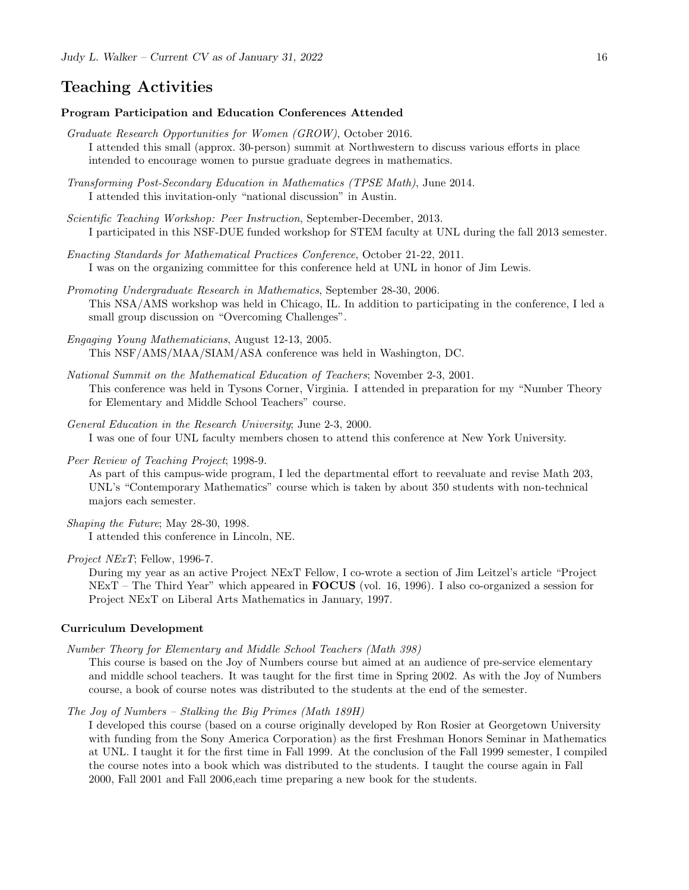## Teaching Activities

## Program Participation and Education Conferences Attended

- Graduate Research Opportunities for Women (GROW), October 2016. I attended this small (approx. 30-person) summit at Northwestern to discuss various efforts in place intended to encourage women to pursue graduate degrees in mathematics.
- Transforming Post-Secondary Education in Mathematics (TPSE Math), June 2014. I attended this invitation-only "national discussion" in Austin.
- Scientific Teaching Workshop: Peer Instruction, September-December, 2013. I participated in this NSF-DUE funded workshop for STEM faculty at UNL during the fall 2013 semester.
- Enacting Standards for Mathematical Practices Conference, October 21-22, 2011. I was on the organizing committee for this conference held at UNL in honor of Jim Lewis.
- Promoting Undergraduate Research in Mathematics, September 28-30, 2006. This NSA/AMS workshop was held in Chicago, IL. In addition to participating in the conference, I led a small group discussion on "Overcoming Challenges".
- Engaging Young Mathematicians, August 12-13, 2005. This NSF/AMS/MAA/SIAM/ASA conference was held in Washington, DC.
- National Summit on the Mathematical Education of Teachers; November 2-3, 2001. This conference was held in Tysons Corner, Virginia. I attended in preparation for my "Number Theory for Elementary and Middle School Teachers" course.
- General Education in the Research University; June 2-3, 2000. I was one of four UNL faculty members chosen to attend this conference at New York University.
- Peer Review of Teaching Project; 1998-9.

As part of this campus-wide program, I led the departmental effort to reevaluate and revise Math 203, UNL's "Contemporary Mathematics" course which is taken by about 350 students with non-technical majors each semester.

Shaping the Future; May 28-30, 1998. I attended this conference in Lincoln, NE.

Project NExT; Fellow, 1996-7.

During my year as an active Project NExT Fellow, I co-wrote a section of Jim Leitzel's article "Project NExT – The Third Year" which appeared in **FOCUS** (vol. 16, 1996). I also co-organized a session for Project NExT on Liberal Arts Mathematics in January, 1997.

## Curriculum Development

Number Theory for Elementary and Middle School Teachers (Math 398)

This course is based on the Joy of Numbers course but aimed at an audience of pre-service elementary and middle school teachers. It was taught for the first time in Spring 2002. As with the Joy of Numbers course, a book of course notes was distributed to the students at the end of the semester.

The Joy of Numbers – Stalking the Big Primes (Math 189H)

I developed this course (based on a course originally developed by Ron Rosier at Georgetown University with funding from the Sony America Corporation) as the first Freshman Honors Seminar in Mathematics at UNL. I taught it for the first time in Fall 1999. At the conclusion of the Fall 1999 semester, I compiled the course notes into a book which was distributed to the students. I taught the course again in Fall 2000, Fall 2001 and Fall 2006,each time preparing a new book for the students.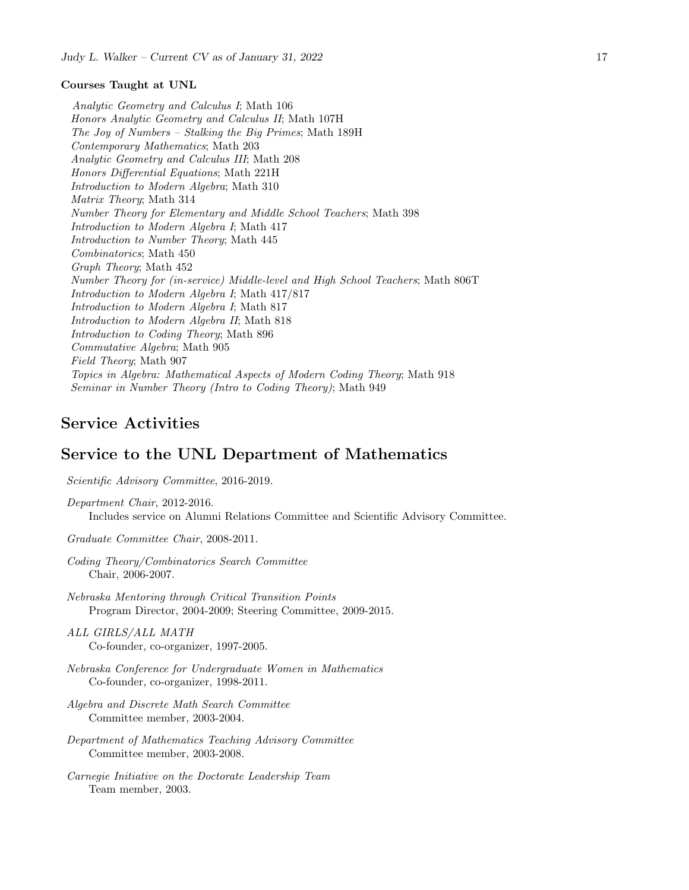## Courses Taught at UNL

Analytic Geometry and Calculus I; Math 106 Honors Analytic Geometry and Calculus II; Math 107H The Joy of Numbers – Stalking the Big Primes; Math 189H Contemporary Mathematics; Math 203 Analytic Geometry and Calculus III; Math 208 Honors Differential Equations; Math 221H Introduction to Modern Algebra; Math 310 Matrix Theory; Math 314 Number Theory for Elementary and Middle School Teachers; Math 398 Introduction to Modern Algebra I; Math 417 Introduction to Number Theory; Math 445 Combinatorics; Math 450 Graph Theory; Math 452 Number Theory for (in-service) Middle-level and High School Teachers; Math 806T Introduction to Modern Algebra I; Math 417/817 Introduction to Modern Algebra I; Math 817 Introduction to Modern Algebra II; Math 818 Introduction to Coding Theory; Math 896 Commutative Algebra; Math 905 Field Theory; Math 907 Topics in Algebra: Mathematical Aspects of Modern Coding Theory; Math 918 Seminar in Number Theory (Intro to Coding Theory); Math 949

# Service Activities

## Service to the UNL Department of Mathematics

Scientific Advisory Committee, 2016-2019.

Department Chair, 2012-2016. Includes service on Alumni Relations Committee and Scientific Advisory Committee.

Graduate Committee Chair, 2008-2011.

Coding Theory/Combinatorics Search Committee Chair, 2006-2007.

Nebraska Mentoring through Critical Transition Points Program Director, 2004-2009; Steering Committee, 2009-2015.

ALL GIRLS/ALL MATH Co-founder, co-organizer, 1997-2005.

- Nebraska Conference for Undergraduate Women in Mathematics Co-founder, co-organizer, 1998-2011.
- Algebra and Discrete Math Search Committee Committee member, 2003-2004.
- Department of Mathematics Teaching Advisory Committee Committee member, 2003-2008.
- Carnegie Initiative on the Doctorate Leadership Team Team member, 2003.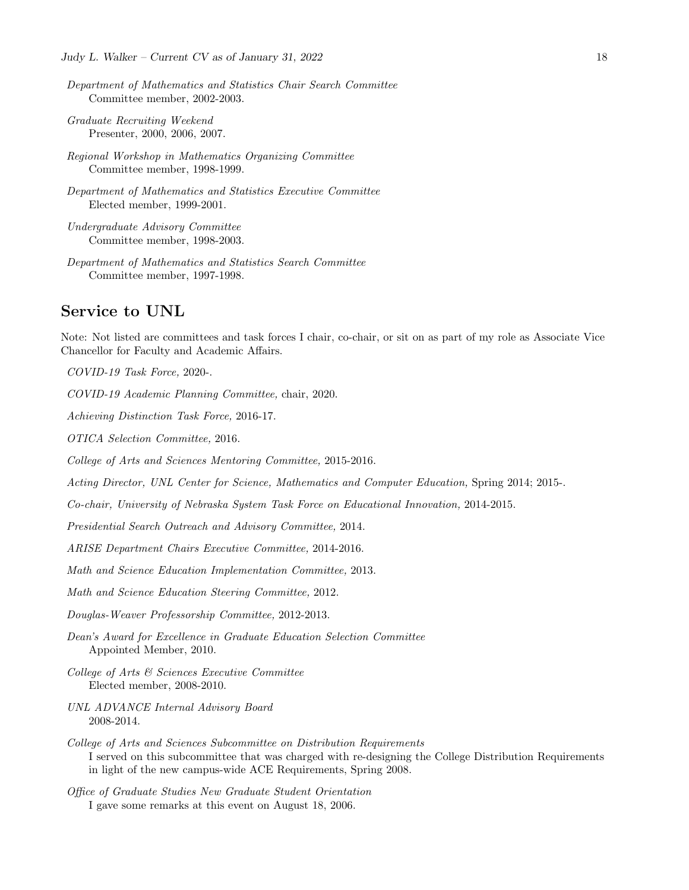- Department of Mathematics and Statistics Chair Search Committee Committee member, 2002-2003.
- Graduate Recruiting Weekend Presenter, 2000, 2006, 2007.
- Regional Workshop in Mathematics Organizing Committee Committee member, 1998-1999.
- Department of Mathematics and Statistics Executive Committee Elected member, 1999-2001.
- Undergraduate Advisory Committee Committee member, 1998-2003.
- Department of Mathematics and Statistics Search Committee Committee member, 1997-1998.

# Service to UNL

Note: Not listed are committees and task forces I chair, co-chair, or sit on as part of my role as Associate Vice Chancellor for Faculty and Academic Affairs.

COVID-19 Task Force, 2020-.

COVID-19 Academic Planning Committee, chair, 2020.

Achieving Distinction Task Force, 2016-17.

OTICA Selection Committee, 2016.

College of Arts and Sciences Mentoring Committee, 2015-2016.

Acting Director, UNL Center for Science, Mathematics and Computer Education, Spring 2014; 2015-.

Co-chair, University of Nebraska System Task Force on Educational Innovation, 2014-2015.

Presidential Search Outreach and Advisory Committee, 2014.

ARISE Department Chairs Executive Committee, 2014-2016.

Math and Science Education Implementation Committee, 2013.

Math and Science Education Steering Committee, 2012.

Douglas-Weaver Professorship Committee, 2012-2013.

- Dean's Award for Excellence in Graduate Education Selection Committee Appointed Member, 2010.
- College of Arts & Sciences Executive Committee Elected member, 2008-2010.
- UNL ADVANCE Internal Advisory Board 2008-2014.
- College of Arts and Sciences Subcommittee on Distribution Requirements I served on this subcommittee that was charged with re-designing the College Distribution Requirements in light of the new campus-wide ACE Requirements, Spring 2008.

Office of Graduate Studies New Graduate Student Orientation I gave some remarks at this event on August 18, 2006.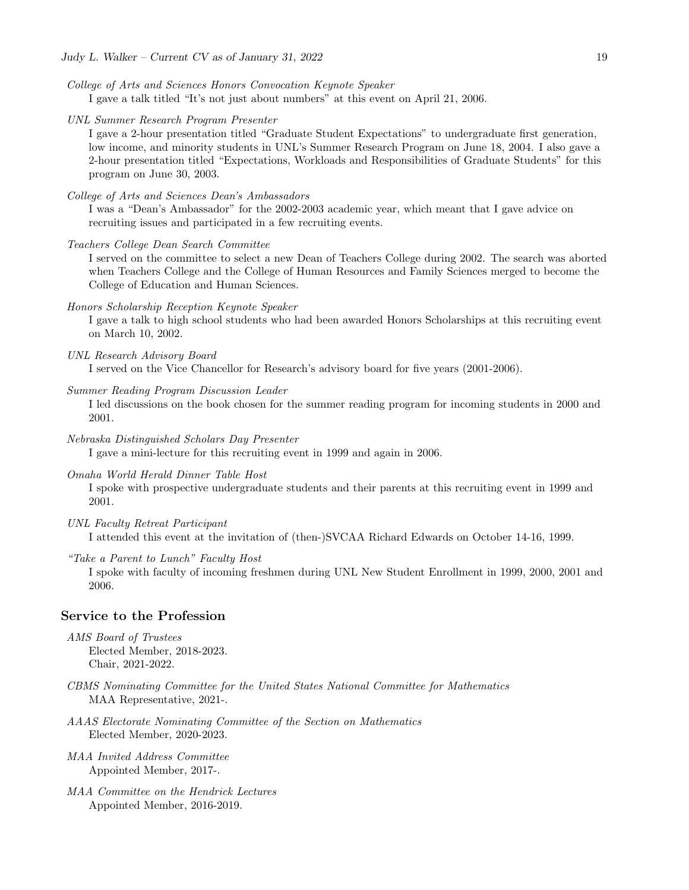- College of Arts and Sciences Honors Convocation Keynote Speaker I gave a talk titled "It's not just about numbers" at this event on April 21, 2006.
- UNL Summer Research Program Presenter

I gave a 2-hour presentation titled "Graduate Student Expectations" to undergraduate first generation, low income, and minority students in UNL's Summer Research Program on June 18, 2004. I also gave a 2-hour presentation titled "Expectations, Workloads and Responsibilities of Graduate Students" for this program on June 30, 2003.

College of Arts and Sciences Dean's Ambassadors

I was a "Dean's Ambassador" for the 2002-2003 academic year, which meant that I gave advice on recruiting issues and participated in a few recruiting events.

Teachers College Dean Search Committee

I served on the committee to select a new Dean of Teachers College during 2002. The search was aborted when Teachers College and the College of Human Resources and Family Sciences merged to become the College of Education and Human Sciences.

Honors Scholarship Reception Keynote Speaker

I gave a talk to high school students who had been awarded Honors Scholarships at this recruiting event on March 10, 2002.

UNL Research Advisory Board

I served on the Vice Chancellor for Research's advisory board for five years (2001-2006).

Summer Reading Program Discussion Leader

I led discussions on the book chosen for the summer reading program for incoming students in 2000 and 2001.

Nebraska Distinguished Scholars Day Presenter

I gave a mini-lecture for this recruiting event in 1999 and again in 2006.

Omaha World Herald Dinner Table Host

I spoke with prospective undergraduate students and their parents at this recruiting event in 1999 and 2001.

UNL Faculty Retreat Participant

I attended this event at the invitation of (then-)SVCAA Richard Edwards on October 14-16, 1999.

"Take a Parent to Lunch" Faculty Host

I spoke with faculty of incoming freshmen during UNL New Student Enrollment in 1999, 2000, 2001 and 2006.

## Service to the Profession

- AMS Board of Trustees Elected Member, 2018-2023. Chair, 2021-2022.
- CBMS Nominating Committee for the United States National Committee for Mathematics MAA Representative, 2021-.
- AAAS Electorate Nominating Committee of the Section on Mathematics Elected Member, 2020-2023.
- MAA Invited Address Committee Appointed Member, 2017-.
- MAA Committee on the Hendrick Lectures Appointed Member, 2016-2019.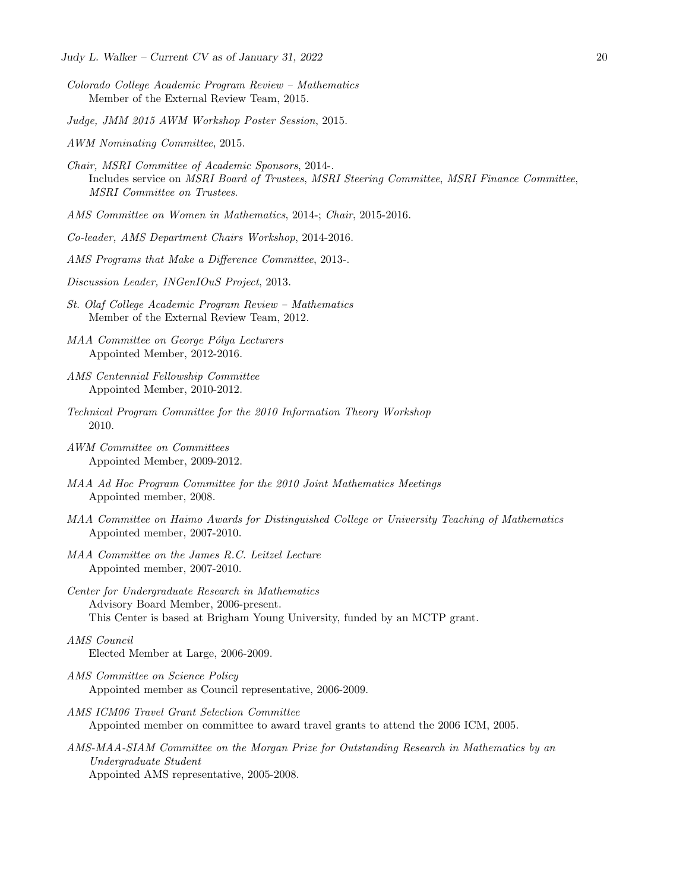- Colorado College Academic Program Review Mathematics Member of the External Review Team, 2015.
- Judge, JMM 2015 AWM Workshop Poster Session, 2015.
- AWM Nominating Committee, 2015.
- Chair, MSRI Committee of Academic Sponsors, 2014-. Includes service on MSRI Board of Trustees, MSRI Steering Committee, MSRI Finance Committee, MSRI Committee on Trustees.
- AMS Committee on Women in Mathematics, 2014-; Chair, 2015-2016.
- Co-leader, AMS Department Chairs Workshop, 2014-2016.
- AMS Programs that Make a Difference Committee, 2013-.
- Discussion Leader, INGenIOuS Project, 2013.
- St. Olaf College Academic Program Review Mathematics Member of the External Review Team, 2012.
- MAA Committee on George Pólya Lecturers Appointed Member, 2012-2016.
- AMS Centennial Fellowship Committee Appointed Member, 2010-2012.
- Technical Program Committee for the 2010 Information Theory Workshop 2010.
- AWM Committee on Committees Appointed Member, 2009-2012.
- MAA Ad Hoc Program Committee for the 2010 Joint Mathematics Meetings Appointed member, 2008.
- MAA Committee on Haimo Awards for Distinguished College or University Teaching of Mathematics Appointed member, 2007-2010.
- MAA Committee on the James R.C. Leitzel Lecture Appointed member, 2007-2010.
- Center for Undergraduate Research in Mathematics Advisory Board Member, 2006-present. This Center is based at Brigham Young University, funded by an MCTP grant.
- AMS Council Elected Member at Large, 2006-2009.
- AMS Committee on Science Policy Appointed member as Council representative, 2006-2009.
- AMS ICM06 Travel Grant Selection Committee Appointed member on committee to award travel grants to attend the 2006 ICM, 2005.
- AMS-MAA-SIAM Committee on the Morgan Prize for Outstanding Research in Mathematics by an Undergraduate Student Appointed AMS representative, 2005-2008.